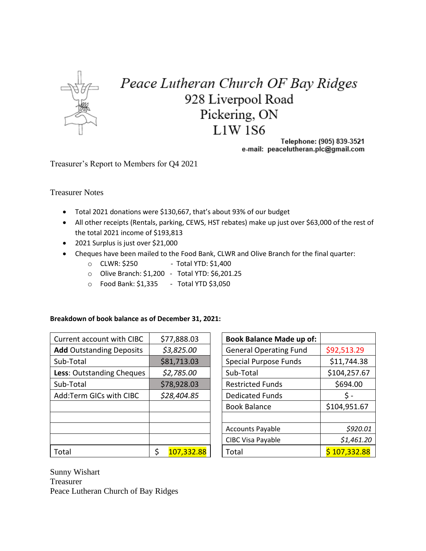

## Peace Lutheran Church OF Bay Ridges 928 Liverpool Road Pickering, ON  $L1W$  1S6

Telephone: (905) 839-3521 e-mail: peacelutheran.plc@gmail.com

Treasurer's Report to Members for Q4 2021

Treasurer Notes

- Total 2021 donations were \$130,667, that's about 93% of our budget
- All other receipts (Rentals, parking, CEWS, HST rebates) make up just over \$63,000 of the rest of the total 2021 income of \$193,813
- 2021 Surplus is just over \$21,000
- Cheques have been mailed to the Food Bank, CLWR and Olive Branch for the final quarter:
	- o CLWR: \$250 Total YTD: \$1,400
	- o Olive Branch: \$1,200 Total YTD: \$6,201.25
	- o Food Bank: \$1,335 Total YTD \$3,050

## **Breakdown of book balance as of December 31, 2021:**

| Current account with CIBC       | \$77,888.03                           | <b>Book Balance Made up of:</b>      |              |
|---------------------------------|---------------------------------------|--------------------------------------|--------------|
| <b>Add Outstanding Deposits</b> | \$3,825.00                            | <b>General Operating Fund</b>        | \$92,513.29  |
| Sub-Total                       | \$81,713.03                           | \$11,744.38<br>Special Purpose Funds |              |
| Less: Outstanding Cheques       | \$2,785.00                            | \$104,257.67<br>Sub-Total            |              |
| Sub-Total                       | \$78,928.03                           | <b>Restricted Funds</b>              | \$694.00     |
| Add:Term GICs with CIBC         | \$28,404.85<br><b>Dedicated Funds</b> |                                      | \$ -         |
|                                 |                                       | <b>Book Balance</b>                  | \$104,951.67 |
|                                 |                                       |                                      |              |
|                                 |                                       | <b>Accounts Payable</b>              | \$920.01     |
|                                 |                                       | CIBC Visa Payable                    | \$1,461.20   |
| Total                           | 107,332.88<br>\$                      | Total                                | \$107,332.88 |

| Current account with CIBC       | \$77,888.03      | <b>Book Balance Made up of:</b> |              |
|---------------------------------|------------------|---------------------------------|--------------|
| <b>Add Outstanding Deposits</b> | \$3,825.00       | <b>General Operating Fund</b>   | \$92,513.29  |
| Sub-Total                       | \$81,713.03      | <b>Special Purpose Funds</b>    | \$11,744.38  |
| Less: Outstanding Cheques       | \$2,785.00       | Sub-Total                       | \$104,257.67 |
| Sub-Total                       | \$78,928.03      | <b>Restricted Funds</b>         | \$694.00     |
| Add:Term GICs with CIBC         | \$28,404.85      | <b>Dedicated Funds</b>          | \$ -         |
|                                 |                  | <b>Book Balance</b>             | \$104,951.67 |
|                                 |                  |                                 |              |
|                                 |                  | <b>Accounts Payable</b>         | \$920.01     |
|                                 |                  | CIBC Visa Payable               | \$1,461.20   |
| Total                           | 107,332.88<br>\$ | Total                           | \$107,332.88 |

Sunny Wishart Treasurer Peace Lutheran Church of Bay Ridges